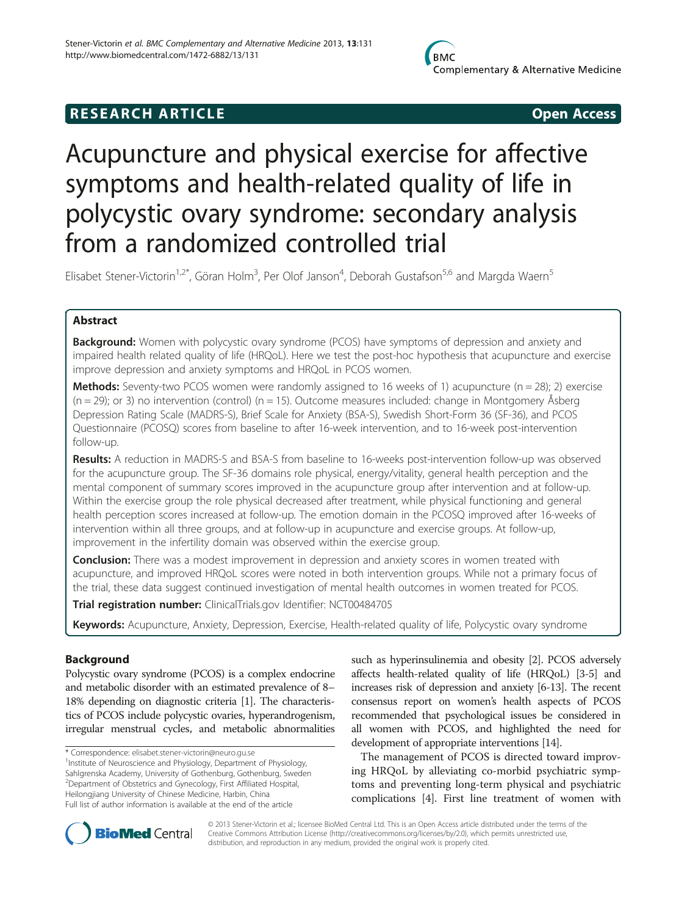## R E S EAR CH A R TIC L E Open Access

# Acupuncture and physical exercise for affective symptoms and health-related quality of life in polycystic ovary syndrome: secondary analysis from a randomized controlled trial

Elisabet Stener-Victorin<sup>1,2\*</sup>, Göran Holm<sup>3</sup>, Per Olof Janson<sup>4</sup>, Deborah Gustafson<sup>5,6</sup> and Margda Waern<sup>5</sup>

## Abstract

**Background:** Women with polycystic ovary syndrome (PCOS) have symptoms of depression and anxiety and impaired health related quality of life (HRQoL). Here we test the post-hoc hypothesis that acupuncture and exercise improve depression and anxiety symptoms and HRQoL in PCOS women.

**Methods:** Seventy-two PCOS women were randomly assigned to 16 weeks of 1) acupuncture  $(n = 28)$ ; 2) exercise  $(n = 29)$ ; or 3) no intervention (control) (n = 15). Outcome measures included: change in Montgomery Åsberg Depression Rating Scale (MADRS-S), Brief Scale for Anxiety (BSA-S), Swedish Short-Form 36 (SF-36), and PCOS Questionnaire (PCOSQ) scores from baseline to after 16-week intervention, and to 16-week post-intervention follow-up.

Results: A reduction in MADRS-S and BSA-S from baseline to 16-weeks post-intervention follow-up was observed for the acupuncture group. The SF-36 domains role physical, energy/vitality, general health perception and the mental component of summary scores improved in the acupuncture group after intervention and at follow-up. Within the exercise group the role physical decreased after treatment, while physical functioning and general health perception scores increased at follow-up. The emotion domain in the PCOSQ improved after 16-weeks of intervention within all three groups, and at follow-up in acupuncture and exercise groups. At follow-up, improvement in the infertility domain was observed within the exercise group.

**Conclusion:** There was a modest improvement in depression and anxiety scores in women treated with acupuncture, and improved HRQoL scores were noted in both intervention groups. While not a primary focus of the trial, these data suggest continued investigation of mental health outcomes in women treated for PCOS.

Trial registration number: ClinicalTrials.gov Identifier: [NCT00484705](http://clinicaltrials.gov/ct2/show/NCT00484705?term=stener-victorin&rank=3)

Keywords: Acupuncture, Anxiety, Depression, Exercise, Health-related quality of life, Polycystic ovary syndrome

## Background

Polycystic ovary syndrome (PCOS) is a complex endocrine and metabolic disorder with an estimated prevalence of 8– 18% depending on diagnostic criteria [\[1\]](#page-6-0). The characteristics of PCOS include polycystic ovaries, hyperandrogenism, irregular menstrual cycles, and metabolic abnormalities

<sup>1</sup> Institute of Neuroscience and Physiology, Department of Physiology, Sahlgrenska Academy, University of Gothenburg, Gothenburg, Sweden 2 Department of Obstetrics and Gynecology, First Affiliated Hospital, Heilongjiang University of Chinese Medicine, Harbin, China Full list of author information is available at the end of the article

such as hyperinsulinemia and obesity [\[2](#page-6-0)]. PCOS adversely affects health-related quality of life (HRQoL) [\[3](#page-6-0)-[5](#page-6-0)] and increases risk of depression and anxiety [\[6-13\]](#page-6-0). The recent consensus report on women's health aspects of PCOS recommended that psychological issues be considered in all women with PCOS, and highlighted the need for development of appropriate interventions [\[14](#page-6-0)].

The management of PCOS is directed toward improving HRQoL by alleviating co-morbid psychiatric symptoms and preventing long-term physical and psychiatric complications [[4\]](#page-6-0). First line treatment of women with



© 2013 Stener-Victorin et al.; licensee BioMed Central Ltd. This is an Open Access article distributed under the terms of the Creative Commons Attribution License (<http://creativecommons.org/licenses/by/2.0>), which permits unrestricted use, distribution, and reproduction in any medium, provided the original work is properly cited.

<sup>\*</sup> Correspondence: [elisabet.stener-victorin@neuro.gu.se](mailto:elisabet.stener-victorin@neuro.gu.se) <sup>1</sup>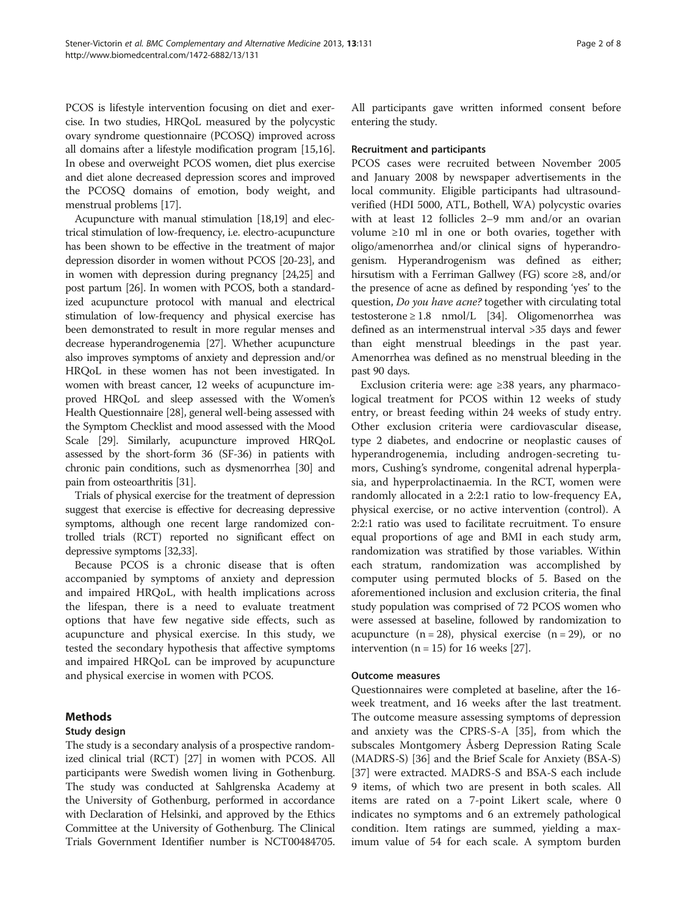PCOS is lifestyle intervention focusing on diet and exercise. In two studies, HRQoL measured by the polycystic ovary syndrome questionnaire (PCOSQ) improved across all domains after a lifestyle modification program [\[15,](#page-6-0)[16](#page-7-0)]. In obese and overweight PCOS women, diet plus exercise and diet alone decreased depression scores and improved the PCOSQ domains of emotion, body weight, and menstrual problems [\[17\]](#page-7-0).

Acupuncture with manual stimulation [[18,19\]](#page-7-0) and electrical stimulation of low-frequency, i.e. electro-acupuncture has been shown to be effective in the treatment of major depression disorder in women without PCOS [\[20-23\]](#page-7-0), and in women with depression during pregnancy [[24,25\]](#page-7-0) and post partum [\[26](#page-7-0)]. In women with PCOS, both a standardized acupuncture protocol with manual and electrical stimulation of low-frequency and physical exercise has been demonstrated to result in more regular menses and decrease hyperandrogenemia [[27](#page-7-0)]. Whether acupuncture also improves symptoms of anxiety and depression and/or HRQoL in these women has not been investigated. In women with breast cancer, 12 weeks of acupuncture improved HRQoL and sleep assessed with the Women's Health Questionnaire [\[28\]](#page-7-0), general well-being assessed with the Symptom Checklist and mood assessed with the Mood Scale [\[29\]](#page-7-0). Similarly, acupuncture improved HRQoL assessed by the short-form 36 (SF-36) in patients with chronic pain conditions, such as dysmenorrhea [\[30](#page-7-0)] and pain from osteoarthritis [\[31\]](#page-7-0).

Trials of physical exercise for the treatment of depression suggest that exercise is effective for decreasing depressive symptoms, although one recent large randomized controlled trials (RCT) reported no significant effect on depressive symptoms [\[32,33](#page-7-0)].

Because PCOS is a chronic disease that is often accompanied by symptoms of anxiety and depression and impaired HRQoL, with health implications across the lifespan, there is a need to evaluate treatment options that have few negative side effects, such as acupuncture and physical exercise. In this study, we tested the secondary hypothesis that affective symptoms and impaired HRQoL can be improved by acupuncture and physical exercise in women with PCOS.

## Methods

## Study design

The study is a secondary analysis of a prospective randomized clinical trial (RCT) [[27](#page-7-0)] in women with PCOS. All participants were Swedish women living in Gothenburg. The study was conducted at Sahlgrenska Academy at the University of Gothenburg, performed in accordance with Declaration of Helsinki, and approved by the Ethics Committee at the University of Gothenburg. The Clinical Trials Government Identifier number is NCT00484705. All participants gave written informed consent before entering the study.

#### Recruitment and participants

PCOS cases were recruited between November 2005 and January 2008 by newspaper advertisements in the local community. Eligible participants had ultrasoundverified (HDI 5000, ATL, Bothell, WA) polycystic ovaries with at least 12 follicles 2–9 mm and/or an ovarian volume ≥10 ml in one or both ovaries, together with oligo/amenorrhea and/or clinical signs of hyperandrogenism. Hyperandrogenism was defined as either; hirsutism with a Ferriman Gallwey (FG) score ≥8, and/or the presence of acne as defined by responding 'yes' to the question, Do you have acne? together with circulating total testosterone  $\geq 1.8$  nmol/L [\[34\]](#page-7-0). Oligomenorrhea was defined as an intermenstrual interval >35 days and fewer than eight menstrual bleedings in the past year. Amenorrhea was defined as no menstrual bleeding in the past 90 days.

Exclusion criteria were: age ≥38 years, any pharmacological treatment for PCOS within 12 weeks of study entry, or breast feeding within 24 weeks of study entry. Other exclusion criteria were cardiovascular disease, type 2 diabetes, and endocrine or neoplastic causes of hyperandrogenemia, including androgen-secreting tumors, Cushing's syndrome, congenital adrenal hyperplasia, and hyperprolactinaemia. In the RCT, women were randomly allocated in a 2:2:1 ratio to low-frequency EA, physical exercise, or no active intervention (control). A 2:2:1 ratio was used to facilitate recruitment. To ensure equal proportions of age and BMI in each study arm, randomization was stratified by those variables. Within each stratum, randomization was accomplished by computer using permuted blocks of 5. Based on the aforementioned inclusion and exclusion criteria, the final study population was comprised of 72 PCOS women who were assessed at baseline, followed by randomization to acupuncture  $(n = 28)$ , physical exercise  $(n = 29)$ , or no intervention ( $n = 15$ ) for 16 weeks [\[27](#page-7-0)].

#### Outcome measures

Questionnaires were completed at baseline, after the 16 week treatment, and 16 weeks after the last treatment. The outcome measure assessing symptoms of depression and anxiety was the CPRS-S-A [[35\]](#page-7-0), from which the subscales Montgomery Åsberg Depression Rating Scale (MADRS-S) [\[36](#page-7-0)] and the Brief Scale for Anxiety (BSA-S) [[37\]](#page-7-0) were extracted. MADRS-S and BSA-S each include 9 items, of which two are present in both scales. All items are rated on a 7-point Likert scale, where 0 indicates no symptoms and 6 an extremely pathological condition. Item ratings are summed, yielding a maximum value of 54 for each scale. A symptom burden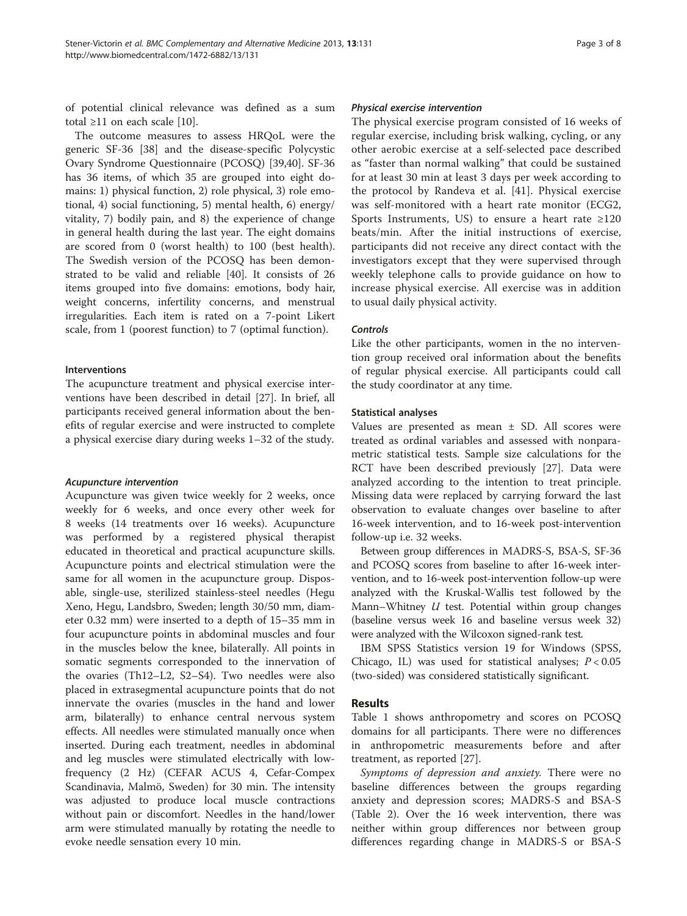of potential clinical relevance was defined as a sum total ≥11 on each scale [[10\]](#page-6-0).

The outcome measures to assess HRQoL were the generic SF-36 [\[38](#page-7-0)] and the disease-specific Polycystic Ovary Syndrome Questionnaire (PCOSQ) [[39,40](#page-7-0)]. SF-36 has 36 items, of which 35 are grouped into eight domains: 1) physical function, 2) role physical, 3) role emotional, 4) social functioning, 5) mental health, 6) energy/ vitality, 7) bodily pain, and 8) the experience of change in general health during the last year. The eight domains are scored from 0 (worst health) to 100 (best health). The Swedish version of the PCOSQ has been demonstrated to be valid and reliable [\[40](#page-7-0)]. It consists of 26 items grouped into five domains: emotions, body hair, weight concerns, infertility concerns, and menstrual irregularities. Each item is rated on a 7-point Likert scale, from 1 (poorest function) to 7 (optimal function).

#### Interventions

The acupuncture treatment and physical exercise interventions have been described in detail [[27](#page-7-0)]. In brief, all participants received general information about the benefits of regular exercise and were instructed to complete a physical exercise diary during weeks 1–32 of the study.

#### Acupuncture intervention

Acupuncture was given twice weekly for 2 weeks, once weekly for 6 weeks, and once every other week for 8 weeks (14 treatments over 16 weeks). Acupuncture was performed by a registered physical therapist educated in theoretical and practical acupuncture skills. Acupuncture points and electrical stimulation were the same for all women in the acupuncture group. Disposable, single-use, sterilized stainless-steel needles (Hegu Xeno, Hegu, Landsbro, Sweden; length 30/50 mm, diameter 0.32 mm) were inserted to a depth of 15–35 mm in four acupuncture points in abdominal muscles and four in the muscles below the knee, bilaterally. All points in somatic segments corresponded to the innervation of the ovaries (Th12–L2, S2–S4). Two needles were also placed in extrasegmental acupuncture points that do not innervate the ovaries (muscles in the hand and lower arm, bilaterally) to enhance central nervous system effects. All needles were stimulated manually once when inserted. During each treatment, needles in abdominal and leg muscles were stimulated electrically with lowfrequency (2 Hz) (CEFAR ACUS 4, Cefar-Compex Scandinavia, Malmö, Sweden) for 30 min. The intensity was adjusted to produce local muscle contractions without pain or discomfort. Needles in the hand/lower arm were stimulated manually by rotating the needle to evoke needle sensation every 10 min.

#### Physical exercise intervention

The physical exercise program consisted of 16 weeks of regular exercise, including brisk walking, cycling, or any other aerobic exercise at a self-selected pace described as "faster than normal walking" that could be sustained for at least 30 min at least 3 days per week according to the protocol by Randeva et al. [[41\]](#page-7-0). Physical exercise was self-monitored with a heart rate monitor (ECG2, Sports Instruments, US) to ensure a heart rate  $\geq 120$ beats/min. After the initial instructions of exercise, participants did not receive any direct contact with the investigators except that they were supervised through weekly telephone calls to provide guidance on how to increase physical exercise. All exercise was in addition to usual daily physical activity.

## **Controls**

Like the other participants, women in the no intervention group received oral information about the benefits of regular physical exercise. All participants could call the study coordinator at any time.

#### Statistical analyses

Values are presented as mean  $\pm$  SD. All scores were treated as ordinal variables and assessed with nonparametric statistical tests. Sample size calculations for the RCT have been described previously [[27](#page-7-0)]. Data were analyzed according to the intention to treat principle. Missing data were replaced by carrying forward the last observation to evaluate changes over baseline to after 16-week intervention, and to 16-week post-intervention follow-up i.e. 32 weeks.

Between group differences in MADRS-S, BSA-S, SF-36 and PCOSQ scores from baseline to after 16-week intervention, and to 16-week post-intervention follow-up were analyzed with the Kruskal-Wallis test followed by the Mann–Whitney  $U$  test. Potential within group changes (baseline versus week 16 and baseline versus week 32) were analyzed with the Wilcoxon signed-rank test.

IBM SPSS Statistics version 19 for Windows (SPSS, Chicago, IL) was used for statistical analyses;  $P < 0.05$ (two-sided) was considered statistically significant.

## Results

Table [1](#page-3-0) shows anthropometry and scores on PCOSQ domains for all participants. There were no differences in anthropometric measurements before and after treatment, as reported [\[27\]](#page-7-0).

Symptoms of depression and anxiety. There were no baseline differences between the groups regarding anxiety and depression scores; MADRS-S and BSA-S (Table [2\)](#page-3-0). Over the 16 week intervention, there was neither within group differences nor between group differences regarding change in MADRS-S or BSA-S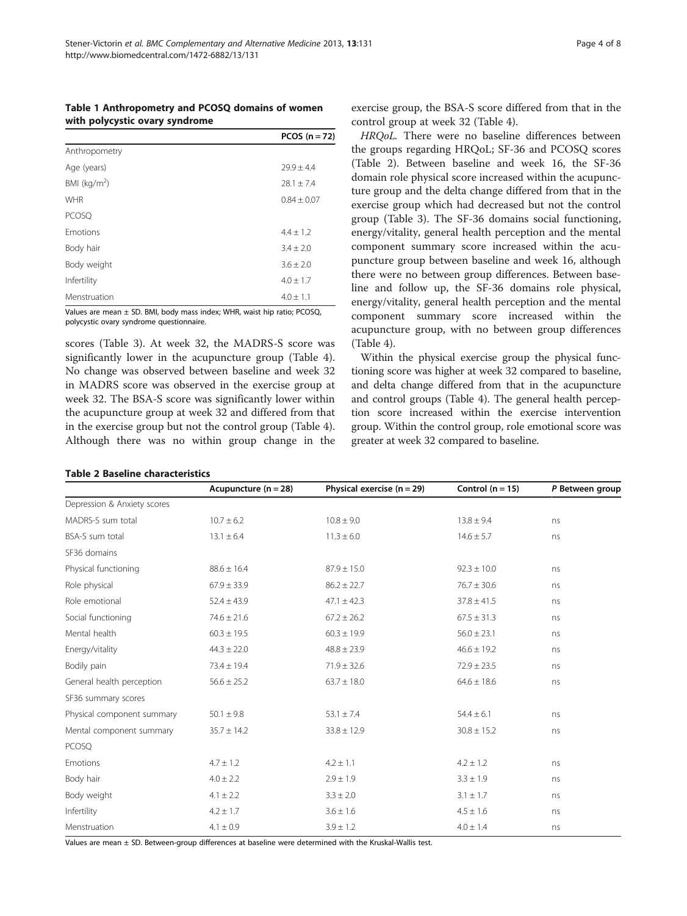<span id="page-3-0"></span>Table 1 Anthropometry and PCOSQ domains of women with polycystic ovary syndrome

|                 | PCOS $(n = 72)$ |
|-----------------|-----------------|
| Anthropometry   |                 |
| Age (years)     | $29.9 \pm 4.4$  |
| BMI ( $kg/m2$ ) | $28.1 \pm 7.4$  |
| <b>WHR</b>      | $0.84 \pm 0.07$ |
| PCOSQ           |                 |
| <b>Emotions</b> | $4.4 \pm 1.2$   |
| Body hair       | $3.4 \pm 2.0$   |
| Body weight     | $3.6 \pm 2.0$   |
| Infertility     | $4.0 \pm 1.7$   |
| Menstruation    | $4.0 \pm 1.1$   |

Values are mean ± SD. BMI, body mass index; WHR, waist hip ratio; PCOSQ, polycystic ovary syndrome questionnaire.

scores (Table [3\)](#page-4-0). At week 32, the MADRS-S score was significantly lower in the acupuncture group (Table [4](#page-5-0)). No change was observed between baseline and week 32 in MADRS score was observed in the exercise group at week 32. The BSA-S score was significantly lower within the acupuncture group at week 32 and differed from that in the exercise group but not the control group (Table [4](#page-5-0)). Although there was no within group change in the

|  |  | <b>Table 2 Baseline characteristics</b> |
|--|--|-----------------------------------------|
|--|--|-----------------------------------------|

HRQoL. There were no baseline differences between the groups regarding HRQoL; SF-36 and PCOSQ scores (Table 2). Between baseline and week 16, the SF-36 domain role physical score increased within the acupuncture group and the delta change differed from that in the exercise group which had decreased but not the control group (Table [3\)](#page-4-0). The SF-36 domains social functioning, energy/vitality, general health perception and the mental component summary score increased within the acupuncture group between baseline and week 16, although there were no between group differences. Between baseline and follow up, the SF-36 domains role physical, energy/vitality, general health perception and the mental component summary score increased within the acupuncture group, with no between group differences (Table [4\)](#page-5-0).

Within the physical exercise group the physical functioning score was higher at week 32 compared to baseline, and delta change differed from that in the acupuncture and control groups (Table [4](#page-5-0)). The general health perception score increased within the exercise intervention group. Within the control group, role emotional score was greater at week 32 compared to baseline.

|                             | Acupuncture $(n = 28)$ | Physical exercise ( $n = 29$ ) | Control $(n = 15)$ | P Between group |
|-----------------------------|------------------------|--------------------------------|--------------------|-----------------|
| Depression & Anxiety scores |                        |                                |                    |                 |
| MADRS-S sum total           | $10.7 \pm 6.2$         | $10.8 \pm 9.0$                 | $13.8 \pm 9.4$     | ns              |
| BSA-S sum total             | $13.1 \pm 6.4$         | $11.3 \pm 6.0$                 | $14.6 \pm 5.7$     | ns              |
| SF36 domains                |                        |                                |                    |                 |
| Physical functioning        | $88.6 \pm 16.4$        | $87.9 \pm 15.0$                | $92.3 \pm 10.0$    | ns              |
| Role physical               | $67.9 \pm 33.9$        | $86.2 \pm 22.7$                | $76.7 \pm 30.6$    | ns              |
| Role emotional              | $52.4 \pm 43.9$        | $47.1 \pm 42.3$                | $37.8 \pm 41.5$    | ns              |
| Social functioning          | $74.6 \pm 21.6$        | $67.2 \pm 26.2$                | $67.5 \pm 31.3$    | ns              |
| Mental health               | $60.3 \pm 19.5$        | $60.3 \pm 19.9$                | $56.0 \pm 23.1$    | ns              |
| Energy/vitality             | $44.3 \pm 22.0$        | $48.8 \pm 23.9$                | $46.6 \pm 19.2$    | ns              |
| Bodily pain                 | $73.4 \pm 19.4$        | $71.9 \pm 32.6$                | $72.9 \pm 23.5$    | ns              |
| General health perception   | $56.6 \pm 25.2$        | $63.7 \pm 18.0$                | $64.6 \pm 18.6$    | ns              |
| SF36 summary scores         |                        |                                |                    |                 |
| Physical component summary  | $50.1 \pm 9.8$         | $53.1 \pm 7.4$                 | $54.4 \pm 6.1$     | ns              |
| Mental component summary    | $35.7 \pm 14.2$        | $33.8 \pm 12.9$                | $30.8 \pm 15.2$    | ns              |
| PCOSQ                       |                        |                                |                    |                 |
| Emotions                    | $4.7 \pm 1.2$          | $4.2 \pm 1.1$                  | $4.2 \pm 1.2$      | ns              |
| Body hair                   | $4.0 \pm 2.2$          | $2.9 \pm 1.9$                  | $3.3 \pm 1.9$      | ns              |
| Body weight                 | $4.1 \pm 2.2$          | $3.3 \pm 2.0$                  | $3.1 \pm 1.7$      | ns              |
| Infertility                 | $4.2 \pm 1.7$          | $3.6 \pm 1.6$                  | $4.5 \pm 1.6$      | ns              |
| Menstruation                | $4.1 \pm 0.9$          | $3.9 \pm 1.2$                  | $4.0 \pm 1.4$      | ns              |

Values are mean ± SD. Between-group differences at baseline were determined with the Kruskal-Wallis test.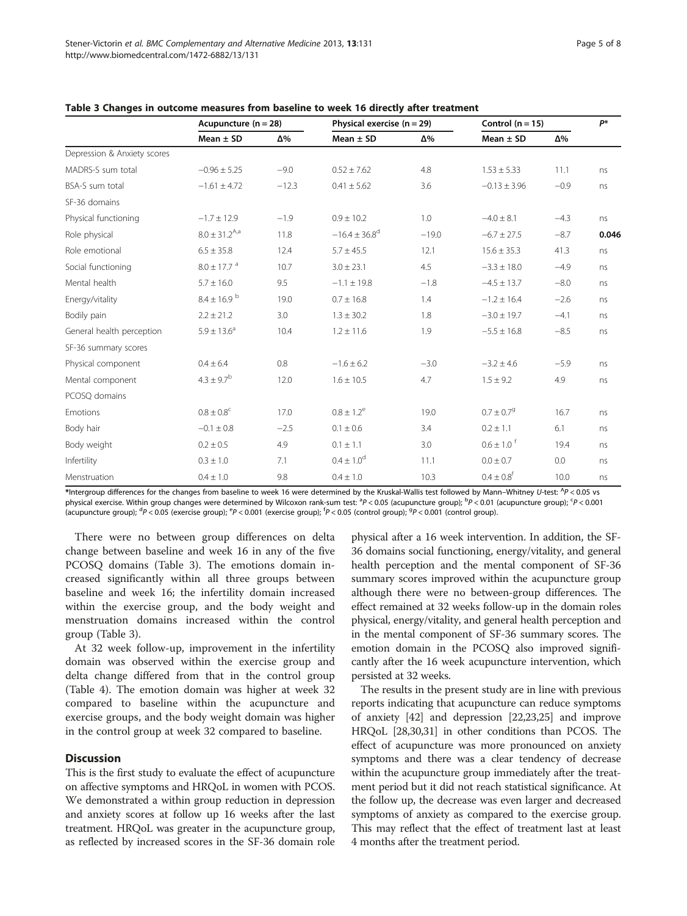|                             | Acupuncture $(n = 28)$      |         | Physical exercise ( $n = 29$ ) |         | Control $(n = 15)$         |        | $P^*$ |
|-----------------------------|-----------------------------|---------|--------------------------------|---------|----------------------------|--------|-------|
|                             | Mean $\pm$ SD               | Δ%      | Mean $\pm$ SD                  | Δ%      | Mean $\pm$ SD              | Δ%     |       |
| Depression & Anxiety scores |                             |         |                                |         |                            |        |       |
| MADRS-S sum total           | $-0.96 \pm 5.25$            | $-9.0$  | $0.52 \pm 7.62$                | 4.8     | $1.53 \pm 5.33$            | 11.1   | ns    |
| BSA-S sum total             | $-1.61 \pm 4.72$            | $-12.3$ | $0.41 \pm 5.62$                | 3.6     | $-0.13 \pm 3.96$           | $-0.9$ | ns    |
| SF-36 domains               |                             |         |                                |         |                            |        |       |
| Physical functioning        | $-1.7 \pm 12.9$             | $-1.9$  | $0.9 \pm 10.2$                 | 1.0     | $-4.0 \pm 8.1$             | $-4.3$ | ns    |
| Role physical               | $8.0 \pm 31.2^{A,a}$        | 11.8    | $-16.4 \pm 36.8$ <sup>d</sup>  | $-19.0$ | $-6.7 \pm 27.5$            | $-8.7$ | 0.046 |
| Role emotional              | $6.5 \pm 35.8$              | 12.4    | $5.7 \pm 45.5$                 | 12.1    | $15.6 \pm 35.3$            | 41.3   | ns    |
| Social functioning          | $8.0 \pm 17.7$ <sup>a</sup> | 10.7    | $3.0 \pm 23.1$                 | 4.5     | $-3.3 \pm 18.0$            | $-4.9$ | ns    |
| Mental health               | $5.7 \pm 16.0$              | 9.5     | $-1.1 \pm 19.8$                | $-1.8$  | $-4.5 \pm 13.7$            | $-8.0$ | ns    |
| Energy/vitality             | $8.4\pm16.9$ b              | 19.0    | $0.7 \pm 16.8$                 | 1.4     | $-1.2 \pm 16.4$            | $-2.6$ | ns    |
| Bodily pain                 | $2.2 \pm 21.2$              | 3.0     | $1.3 \pm 30.2$                 | 1.8     | $-3.0 \pm 19.7$            | $-4.1$ | ns    |
| General health perception   | $5.9 \pm 13.6^a$            | 10.4    | $1.2 \pm 11.6$                 | 1.9     | $-5.5 \pm 16.8$            | $-8.5$ | ns    |
| SF-36 summary scores        |                             |         |                                |         |                            |        |       |
| Physical component          | $0.4 \pm 6.4$               | 0.8     | $-1.6 \pm 6.2$                 | $-3.0$  | $-3.2 \pm 4.6$             | $-5.9$ | ns    |
| Mental component            | $4.3 \pm 9.7^{\rm b}$       | 12.0    | $1.6 \pm 10.5$                 | 4.7     | $1.5 \pm 9.2$              | 4.9    | ns    |
| PCOSQ domains               |                             |         |                                |         |                            |        |       |
| Emotions                    | $0.8 \pm 0.8^{\circ}$       | 17.0    | $0.8 \pm 1.2^e$                | 19.0    | $0.7 \pm 0.79$             | 16.7   | ns    |
| Body hair                   | $-0.1 \pm 0.8$              | $-2.5$  | $0.1\pm0.6$                    | 3.4     | $0.2 \pm 1.1$              | 6.1    | ns    |
| Body weight                 | $0.2 \pm 0.5$               | 4.9     | $0.1 \pm 1.1$                  | 3.0     | $0.6 \pm 1.0$ <sup>f</sup> | 19.4   | ns    |
| Infertility                 | $0.3 \pm 1.0$               | 7.1     | $0.4 \pm 1.0^{d}$              | 11.1    | $0.0 \pm 0.7$              | 0.0    | ns    |
| Menstruation                | $0.4 \pm 1.0$               | 9.8     | $0.4 \pm 1.0$                  | 10.3    | $0.4 \pm 0.8$ <sup>f</sup> | 10.0   | ns    |

<span id="page-4-0"></span>

| Table 3 Changes in outcome measures from baseline to week 16 directly after treatment |  |  |
|---------------------------------------------------------------------------------------|--|--|
|---------------------------------------------------------------------------------------|--|--|

 $*$ Intergroup differences for the changes from baseline to week 16 were determined by the Kruskal-Wallis test followed by Mann–Whitney U-test:  ${}^{\sf A}$ P < 0.05 vs physical exercise. Within group changes were determined by Wilcoxon rank-sum test:  ${}^3\!P\! < 0.05$  (acupuncture group);  ${}^{\mathrm{b}}\!P\! < 0.01$  (acupuncture group);  ${}^{\mathrm{c}}\!P\! < 0.001$ (acupuncture group); <sup>d</sup>P < 0.05 (exercise group); <sup>e</sup>P < 0.001 (exercise group); <sup>f</sup>P < 0.05 (control group); <sup>9</sup>P < 0.001 (control group).

There were no between group differences on delta change between baseline and week 16 in any of the five PCOSQ domains (Table 3). The emotions domain increased significantly within all three groups between baseline and week 16; the infertility domain increased within the exercise group, and the body weight and menstruation domains increased within the control group (Table 3).

At 32 week follow-up, improvement in the infertility domain was observed within the exercise group and delta change differed from that in the control group (Table [4](#page-5-0)). The emotion domain was higher at week 32 compared to baseline within the acupuncture and exercise groups, and the body weight domain was higher in the control group at week 32 compared to baseline.

## **Discussion**

This is the first study to evaluate the effect of acupuncture on affective symptoms and HRQoL in women with PCOS. We demonstrated a within group reduction in depression and anxiety scores at follow up 16 weeks after the last treatment. HRQoL was greater in the acupuncture group, as reflected by increased scores in the SF-36 domain role

physical after a 16 week intervention. In addition, the SF-36 domains social functioning, energy/vitality, and general health perception and the mental component of SF-36 summary scores improved within the acupuncture group although there were no between-group differences. The effect remained at 32 weeks follow-up in the domain roles physical, energy/vitality, and general health perception and in the mental component of SF-36 summary scores. The emotion domain in the PCOSQ also improved significantly after the 16 week acupuncture intervention, which persisted at 32 weeks.

The results in the present study are in line with previous reports indicating that acupuncture can reduce symptoms of anxiety [[42](#page-7-0)] and depression [\[22,23,25\]](#page-7-0) and improve HRQoL [[28,30,31\]](#page-7-0) in other conditions than PCOS. The effect of acupuncture was more pronounced on anxiety symptoms and there was a clear tendency of decrease within the acupuncture group immediately after the treatment period but it did not reach statistical significance. At the follow up, the decrease was even larger and decreased symptoms of anxiety as compared to the exercise group. This may reflect that the effect of treatment last at least 4 months after the treatment period.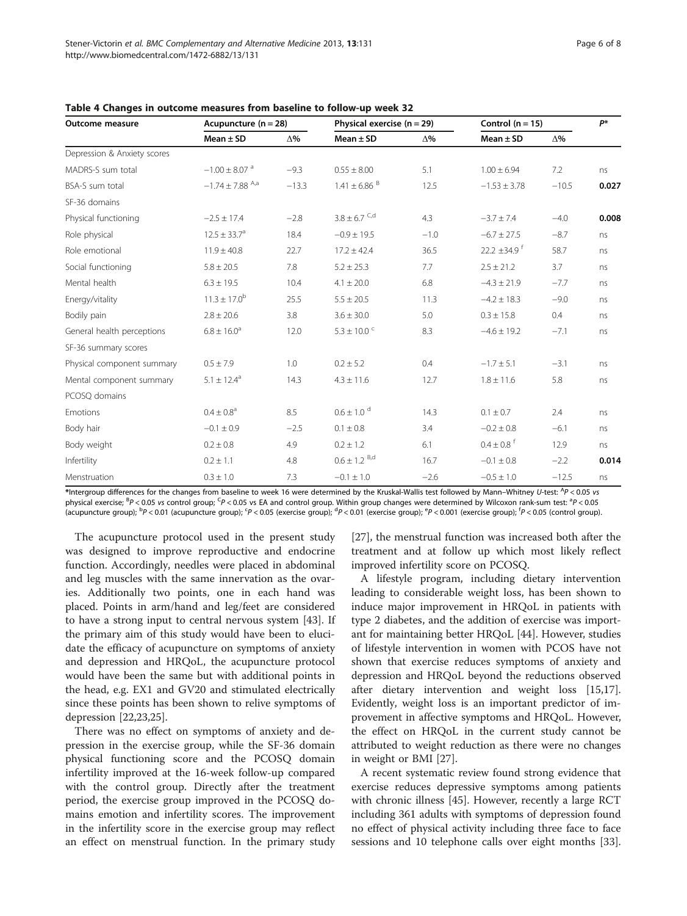| <b>Outcome measure</b>      |                               | Acupuncture $(n = 28)$ |                              | Physical exercise ( $n = 29$ ) | Control $(n = 15)$           |            | p*    |
|-----------------------------|-------------------------------|------------------------|------------------------------|--------------------------------|------------------------------|------------|-------|
|                             | Mean $\pm$ SD                 | $\Delta\%$             | Mean $\pm$ SD                | $\Delta\%$                     | $Mean \pm SD$                | $\Delta\%$ |       |
| Depression & Anxiety scores |                               |                        |                              |                                |                              |            |       |
| MADRS-S sum total           | $-1.00 \pm 8.07$ <sup>a</sup> | $-9.3$                 | $0.55 \pm 8.00$              | 5.1                            | $1.00 \pm 6.94$              | 7.2        | ns    |
| BSA-S sum total             | $-1.74 \pm 7.88$ A,a          | $-13.3$                | $1.41 \pm 6.86$ <sup>B</sup> | 12.5                           | $-1.53 \pm 3.78$             | $-10.5$    | 0.027 |
| SF-36 domains               |                               |                        |                              |                                |                              |            |       |
| Physical functioning        | $-2.5 \pm 17.4$               | $-2.8$                 | $3.8 \pm 6.7$ C,d            | 4.3                            | $-3.7 \pm 7.4$               | $-4.0$     | 0.008 |
| Role physical               | $12.5 \pm 33.7^a$             | 18.4                   | $-0.9 \pm 19.5$              | $-1.0$                         | $-6.7 \pm 27.5$              | $-8.7$     | ns    |
| Role emotional              | $11.9 \pm 40.8$               | 22.7                   | $17.2 \pm 42.4$              | 36.5                           | 22.2 $\pm$ 34.9 <sup>t</sup> | 58.7       | ns    |
| Social functioning          | $5.8 \pm 20.5$                | 7.8                    | $5.2 \pm 25.3$               | 7.7                            | $2.5 \pm 21.2$               | 3.7        | ns    |
| Mental health               | $6.3 \pm 19.5$                | 10.4                   | $4.1 \pm 20.0$               | 6.8                            | $-4.3 \pm 21.9$              | $-7.7$     | ns    |
| Energy/vitality             | $11.3 \pm 17.0^{\rm b}$       | 25.5                   | $5.5 \pm 20.5$               | 11.3                           | $-4.2 \pm 18.3$              | $-9.0$     | ns    |
| Bodily pain                 | $2.8 \pm 20.6$                | 3.8                    | $3.6 \pm 30.0$               | 5.0                            | $0.3 \pm 15.8$               | 0.4        | ns    |
| General health perceptions  | $6.8 \pm 16.0^a$              | 12.0                   | $5.3 \pm 10.0$ <sup>c</sup>  | 8.3                            | $-4.6 \pm 19.2$              | $-7.1$     | ns    |
| SF-36 summary scores        |                               |                        |                              |                                |                              |            |       |
| Physical component summary  | $0.5 \pm 7.9$                 | 1.0                    | $0.2 \pm 5.2$                | 0.4                            | $-1.7 \pm 5.1$               | $-3.1$     | ns    |
| Mental component summary    | $5.1 \pm 12.4^a$              | 14.3                   | $4.3 \pm 11.6$               | 12.7                           | $1.8 \pm 11.6$               | 5.8        | ns    |
| PCOSQ domains               |                               |                        |                              |                                |                              |            |       |
| Emotions                    | $0.4 \pm 0.8^{\circ}$         | 8.5                    | $0.6 \pm 1.0$ <sup>d</sup>   | 14.3                           | $0.1 \pm 0.7$                | 2.4        | ns    |
| Body hair                   | $-0.1 \pm 0.9$                | $-2.5$                 | $0.1 \pm 0.8$                | 3.4                            | $-0.2 \pm 0.8$               | $-6.1$     | ns    |
| Body weight                 | $0.2 \pm 0.8$                 | 4.9                    | $0.2 \pm 1.2$                | 6.1                            | $0.4 \pm 0.8$ <sup>f</sup>   | 12.9       | ns    |
| Infertility                 | $0.2 \pm 1.1$                 | 4.8                    | $0.6 \pm 1.2~^{B,d}$         | 16.7                           | $-0.1 \pm 0.8$               | $-2.2$     | 0.014 |
| Menstruation                | $0.3 \pm 1.0$                 | 7.3                    | $-0.1 \pm 1.0$               | $-2.6$                         | $-0.5 \pm 1.0$               | $-12.5$    | ns    |

<span id="page-5-0"></span>

| Table 4 Changes in outcome measures from baseline to follow-up week 32 |  |  |
|------------------------------------------------------------------------|--|--|
|------------------------------------------------------------------------|--|--|

 $*$ Intergroup differences for the changes from baseline to week 16 were determined by the Kruskal-Wallis test followed by Mann–Whitney U-test:  ${}^{\text{A}}P$  < 0.05 vs physical exercise; <sup>B</sup>P < 0.05 *vs* control group; <sup>C</sup>P < 0.05 vs EA and control group. Within group changes were determined by Wilcoxon rank-sum test: <sup>a</sup>P < 0.05 (acupuncture group); <sup>b</sup>P < 0.01 (acupuncture group); <sup>c</sup>P < 0.05 (exercise group); <sup>d</sup>P < 0.01 (exercise group); <sup>e</sup>P < 0.001 (exercise group); <sup>f</sup>P < 0.05 (control group).

The acupuncture protocol used in the present study was designed to improve reproductive and endocrine function. Accordingly, needles were placed in abdominal and leg muscles with the same innervation as the ovaries. Additionally two points, one in each hand was placed. Points in arm/hand and leg/feet are considered to have a strong input to central nervous system [[43\]](#page-7-0). If the primary aim of this study would have been to elucidate the efficacy of acupuncture on symptoms of anxiety and depression and HRQoL, the acupuncture protocol would have been the same but with additional points in the head, e.g. EX1 and GV20 and stimulated electrically since these points has been shown to relive symptoms of depression [\[22,23,25](#page-7-0)].

There was no effect on symptoms of anxiety and depression in the exercise group, while the SF-36 domain physical functioning score and the PCOSQ domain infertility improved at the 16-week follow-up compared with the control group. Directly after the treatment period, the exercise group improved in the PCOSQ domains emotion and infertility scores. The improvement in the infertility score in the exercise group may reflect an effect on menstrual function. In the primary study [[27\]](#page-7-0), the menstrual function was increased both after the treatment and at follow up which most likely reflect improved infertility score on PCOSQ.

A lifestyle program, including dietary intervention leading to considerable weight loss, has been shown to induce major improvement in HRQoL in patients with type 2 diabetes, and the addition of exercise was important for maintaining better HRQoL [\[44](#page-7-0)]. However, studies of lifestyle intervention in women with PCOS have not shown that exercise reduces symptoms of anxiety and depression and HRQoL beyond the reductions observed after dietary intervention and weight loss [\[15](#page-6-0)[,17](#page-7-0)]. Evidently, weight loss is an important predictor of improvement in affective symptoms and HRQoL. However, the effect on HRQoL in the current study cannot be attributed to weight reduction as there were no changes in weight or BMI [[27](#page-7-0)].

A recent systematic review found strong evidence that exercise reduces depressive symptoms among patients with chronic illness [\[45\]](#page-7-0). However, recently a large RCT including 361 adults with symptoms of depression found no effect of physical activity including three face to face sessions and 10 telephone calls over eight months [\[33](#page-7-0)].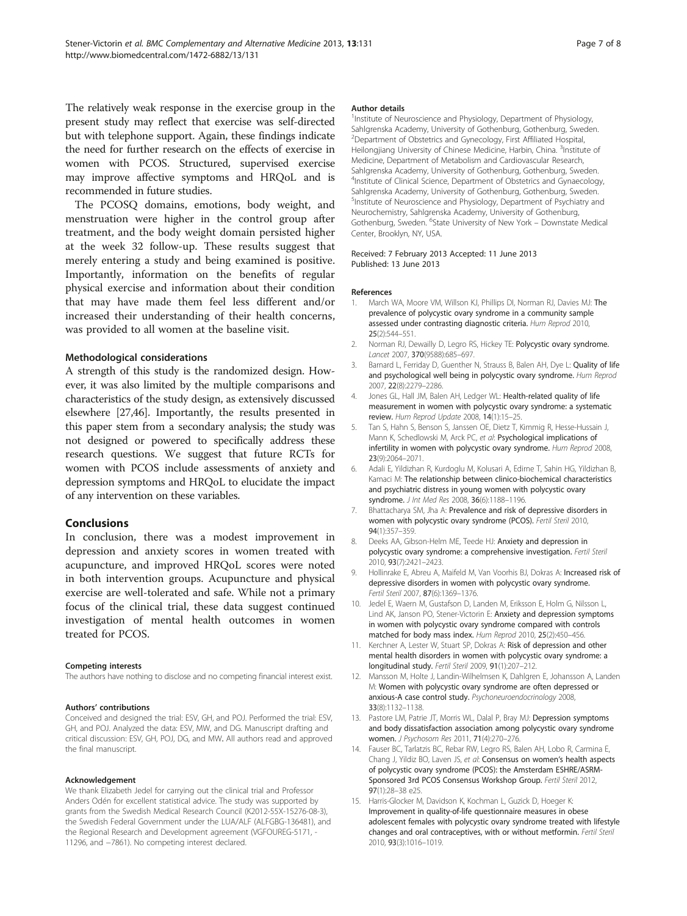<span id="page-6-0"></span>The relatively weak response in the exercise group in the present study may reflect that exercise was self-directed but with telephone support. Again, these findings indicate the need for further research on the effects of exercise in women with PCOS. Structured, supervised exercise may improve affective symptoms and HRQoL and is recommended in future studies.

The PCOSQ domains, emotions, body weight, and menstruation were higher in the control group after treatment, and the body weight domain persisted higher at the week 32 follow-up. These results suggest that merely entering a study and being examined is positive. Importantly, information on the benefits of regular physical exercise and information about their condition that may have made them feel less different and/or increased their understanding of their health concerns, was provided to all women at the baseline visit.

#### Methodological considerations

A strength of this study is the randomized design. However, it was also limited by the multiple comparisons and characteristics of the study design, as extensively discussed elsewhere [[27,46](#page-7-0)]. Importantly, the results presented in this paper stem from a secondary analysis; the study was not designed or powered to specifically address these research questions. We suggest that future RCTs for women with PCOS include assessments of anxiety and depression symptoms and HRQoL to elucidate the impact of any intervention on these variables.

#### Conclusions

In conclusion, there was a modest improvement in depression and anxiety scores in women treated with acupuncture, and improved HRQoL scores were noted in both intervention groups. Acupuncture and physical exercise are well-tolerated and safe. While not a primary focus of the clinical trial, these data suggest continued investigation of mental health outcomes in women treated for PCOS.

#### Competing interests

The authors have nothing to disclose and no competing financial interest exist.

#### Authors' contributions

Conceived and designed the trial: ESV, GH, and POJ. Performed the trial: ESV, GH, and POJ. Analyzed the data: ESV, MW, and DG. Manuscript drafting and critical discussion: ESV, GH, POJ, DG, and MW. All authors read and approved the final manuscript.

#### Acknowledgement

We thank Elizabeth Jedel for carrying out the clinical trial and Professor Anders Odén for excellent statistical advice. The study was supported by grants from the Swedish Medical Research Council (K2012-55X-15276-08-3), the Swedish Federal Government under the LUA/ALF (ALFGBG-136481), and the Regional Research and Development agreement (VGFOUREG-5171, - 11296, and −7861). No competing interest declared.

#### Author details

<sup>1</sup>Institute of Neuroscience and Physiology, Department of Physiology, Sahlgrenska Academy, University of Gothenburg, Gothenburg, Sweden. <sup>2</sup> Department of Obstetrics and Gynecology, First Affiliated Hospital Heilongjiang University of Chinese Medicine, Harbin, China. <sup>3</sup>Institute of Medicine, Department of Metabolism and Cardiovascular Research, Sahlgrenska Academy, University of Gothenburg, Gothenburg, Sweden. 4 Institute of Clinical Science, Department of Obstetrics and Gynaecology, Sahlgrenska Academy, University of Gothenburg, Gothenburg, Sweden. 5 Institute of Neuroscience and Physiology, Department of Psychiatry and Neurochemistry, Sahlgrenska Academy, University of Gothenburg, Gothenburg, Sweden. <sup>6</sup>State University of New York - Downstate Medical Center, Brooklyn, NY, USA.

Received: 7 February 2013 Accepted: 11 June 2013 Published: 13 June 2013

#### References

- 1. March WA, Moore VM, Willson KJ, Phillips DI, Norman RJ, Davies MJ: The prevalence of polycystic ovary syndrome in a community sample assessed under contrasting diagnostic criteria. Hum Reprod 2010, 25(2):544–551.
- 2. Norman RJ, Dewailly D, Legro RS, Hickey TE: Polycystic ovary syndrome. Lancet 2007, 370(9588):685–697.
- Barnard L, Ferriday D, Guenther N, Strauss B, Balen AH, Dye L: Quality of life and psychological well being in polycystic ovary syndrome. Hum Reprod 2007, 22(8):2279–2286.
- 4. Jones GL, Hall JM, Balen AH, Ledger WL: Health-related quality of life measurement in women with polycystic ovary syndrome: a systematic review. Hum Reprod Update 2008, 14(1):15–25.
- 5. Tan S, Hahn S, Benson S, Janssen OE, Dietz T, Kimmig R, Hesse-Hussain J, Mann K, Schedlowski M, Arck PC, et al: Psychological implications of infertility in women with polycystic ovary syndrome. Hum Reprod 2008, 23(9):2064–2071.
- 6. Adali E, Yildizhan R, Kurdoglu M, Kolusari A, Edirne T, Sahin HG, Yildizhan B, Kamaci M: The relationship between clinico-biochemical characteristics and psychiatric distress in young women with polycystic ovary syndrome. *J Int Med Res* 2008, 36(6):1188-1196.
- 7. Bhattacharya SM, Jha A: Prevalence and risk of depressive disorders in women with polycystic ovary syndrome (PCOS). Fertil Steril 2010, 94(1):357–359.
- 8. Deeks AA, Gibson-Helm ME, Teede HJ: Anxiety and depression in polycystic ovary syndrome: a comprehensive investigation. Fertil Steril 2010, 93(7):2421–2423.
- 9. Hollinrake E, Abreu A, Maifeld M, Van Voorhis BJ, Dokras A: Increased risk of depressive disorders in women with polycystic ovary syndrome. Fertil Steril 2007, 87(6):1369–1376.
- 10. Jedel E, Waern M, Gustafson D, Landen M, Eriksson E, Holm G, Nilsson L, Lind AK, Janson PO, Stener-Victorin E: Anxiety and depression symptoms in women with polycystic ovary syndrome compared with controls matched for body mass index. Hum Reprod 2010, 25(2):450–456.
- 11. Kerchner A, Lester W, Stuart SP, Dokras A: Risk of depression and other mental health disorders in women with polycystic ovary syndrome: a longitudinal study. Fertil Steril 2009, 91(1):207–212.
- 12. Mansson M, Holte J, Landin-Wilhelmsen K, Dahlgren E, Johansson A, Landen M: Women with polycystic ovary syndrome are often depressed or anxious-A case control study. Psychoneuroendocrinology 2008, 33(8):1132–1138.
- 13. Pastore LM, Patrie JT, Morris WL, Dalal P, Bray MJ: Depression symptoms and body dissatisfaction association among polycystic ovary syndrome women. J Psychosom Res 2011, 71(4):270–276.
- 14. Fauser BC, Tarlatzis BC, Rebar RW, Legro RS, Balen AH, Lobo R, Carmina E, Chang J, Yildiz BO, Laven JS, et al: Consensus on women's health aspects of polycystic ovary syndrome (PCOS): the Amsterdam ESHRE/ASRM-Sponsored 3rd PCOS Consensus Workshop Group. Fertil Steril 2012, 97(1):28–38 e25.
- 15. Harris-Glocker M, Davidson K, Kochman L, Guzick D, Hoeger K: Improvement in quality-of-life questionnaire measures in obese adolescent females with polycystic ovary syndrome treated with lifestyle changes and oral contraceptives, with or without metformin. Fertil Steril 2010, 93(3):1016–1019.